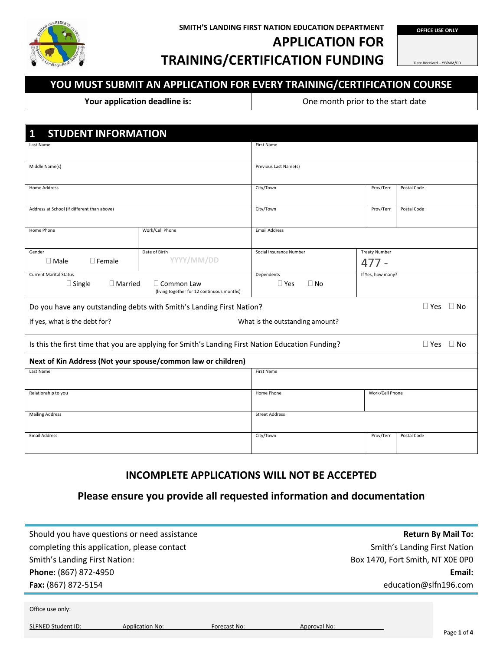

### **SMITH'S LANDING FIRST NATION EDUCATION DEPARTMENT**

### **APPLICATION FOR**

**TRAINING/CERTIFICATION FUNDING**

Date Received – YY/MM/DD

**OFFICE USE ONLY**

# **YOU MUST SUBMIT AN APPLICATION FOR EVERY TRAINING/CERTIFICATION COURSE**

**Your application deadline is: Calcular Cone month prior to the start date** 

| <b>STUDENT INFORMATION</b><br>1                                                                  |                                                              |                               |                               |             |
|--------------------------------------------------------------------------------------------------|--------------------------------------------------------------|-------------------------------|-------------------------------|-------------|
| Last Name                                                                                        |                                                              | First Name                    |                               |             |
| Middle Name(s)                                                                                   |                                                              | Previous Last Name(s)         |                               |             |
| Home Address                                                                                     |                                                              | City/Town                     | Prov/Terr                     | Postal Code |
|                                                                                                  |                                                              |                               |                               |             |
| Address at School (if different than above)                                                      |                                                              | City/Town                     | Prov/Terr<br>Postal Code      |             |
| Home Phone                                                                                       | Work/Cell Phone                                              | <b>Email Address</b>          |                               |             |
| Gender<br>$\Box$ Male<br>$\Box$ Female                                                           | Date of Birth<br>YYYY/MM/DD                                  | Social Insurance Number       | <b>Treaty Number</b><br>477 - |             |
| <b>Current Marital Status</b><br>$\square$ Single<br>$\Box$ Married                              | Dependents<br>$\Box$ Yes<br>$\Box$ No                        | If Yes, how many?             |                               |             |
| Do you have any outstanding debts with Smith's Landing First Nation?                             |                                                              |                               | $\square$ Yes<br>$\Box$ No    |             |
| If yes, what is the debt for?                                                                    | What is the outstanding amount?                              |                               |                               |             |
| Is this the first time that you are applying for Smith's Landing First Nation Education Funding? |                                                              |                               | $\Box$ No<br>$\Box$ Yes       |             |
|                                                                                                  | Next of Kin Address (Not your spouse/common law or children) |                               |                               |             |
| Last Name                                                                                        |                                                              | First Name                    |                               |             |
| Relationship to you                                                                              |                                                              | Home Phone<br>Work/Cell Phone |                               |             |
| <b>Mailing Address</b>                                                                           | <b>Street Address</b>                                        |                               |                               |             |
| <b>Email Address</b>                                                                             | City/Town                                                    | Prov/Terr                     | Postal Code                   |             |

### **INCOMPLETE APPLICATIONS WILL NOT BE ACCEPTED**

**Please ensure you provide all requested information and documentation**

| Should you have questions or need assistance |                        |              |              | <b>Return By Mail To:</b>           |  |  |
|----------------------------------------------|------------------------|--------------|--------------|-------------------------------------|--|--|
| completing this application, please contact  |                        |              |              | <b>Smith's Landing First Nation</b> |  |  |
| <b>Smith's Landing First Nation:</b>         |                        |              |              | Box 1470, Fort Smith, NT X0E 0P0    |  |  |
| Phone: (867) 872-4950                        |                        |              |              | Email:                              |  |  |
| Fax: (867) 872-5154                          |                        |              |              | education@slfn196.com               |  |  |
|                                              |                        |              |              |                                     |  |  |
| Office use only:                             |                        |              |              |                                     |  |  |
| <b>SLFNED Student ID:</b>                    | <b>Application No:</b> | Forecast No: | Approval No: |                                     |  |  |
|                                              |                        |              |              | Page 1 of 4                         |  |  |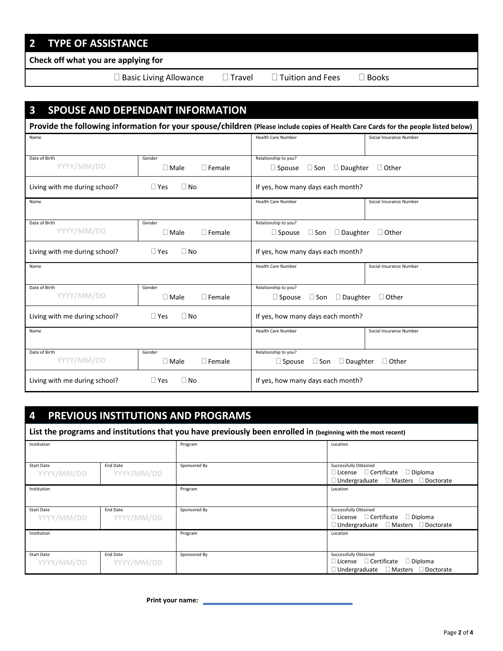# **2 TYPE OF ASSISTANCE**

**Check off what you are applying for**

 $\square$  Basic Living Allowance  $\square$  Travel  $\square$  Tuition and Fees  $\square$  Books

| 3<br><b>SPOUSE AND DEPENDANT INFORMATION</b> |                                    |                                                                                                                                     |                         |  |  |
|----------------------------------------------|------------------------------------|-------------------------------------------------------------------------------------------------------------------------------------|-------------------------|--|--|
|                                              |                                    | Provide the following information for your spouse/children (Please include copies of Health Care Cards for the people listed below) |                         |  |  |
| Name                                         |                                    | <b>Health Care Number</b>                                                                                                           | Social Insurance Number |  |  |
| Date of Birth                                | Gender                             | Relationship to you?                                                                                                                |                         |  |  |
| YYYY/MM/DD                                   | $\square$ Male<br>$\square$ Female | $\Box$ Spouse<br>$\Box$ Son<br>$\Box$ Daughter                                                                                      | $\Box$ Other            |  |  |
| Living with me during school?                | $\Box$ No<br>$\Box$ Yes            | If yes, how many days each month?                                                                                                   |                         |  |  |
| Name                                         |                                    | <b>Health Care Number</b>                                                                                                           | Social Insurance Number |  |  |
| Date of Birth                                | Gender                             | Relationship to you?                                                                                                                |                         |  |  |
| YYYY/MM/DD                                   | $\square$ Female<br>$\square$ Male | $\Box$ Daughter<br>$\square$ Spouse<br>$\Box$ Son                                                                                   | $\Box$ Other            |  |  |
| Living with me during school?                | $\square$ Yes<br>$\Box$ No         | If yes, how many days each month?                                                                                                   |                         |  |  |
| Name                                         |                                    | <b>Health Care Number</b>                                                                                                           | Social Insurance Number |  |  |
| Date of Birth                                | Gender                             | Relationship to you?                                                                                                                |                         |  |  |
| YYYY/MM/DD                                   | $\square$ Male<br>$\square$ Female | $\square$ Spouse<br>$\Box$ Son<br>$\Box$ Daughter                                                                                   | $\Box$ Other            |  |  |
| Living with me during school?                | $\Box$ No<br>$\Box$ Yes            | If yes, how many days each month?                                                                                                   |                         |  |  |
| Name                                         |                                    | <b>Health Care Number</b>                                                                                                           | Social Insurance Number |  |  |
| Date of Birth                                | Gender                             | Relationship to you?                                                                                                                |                         |  |  |
| YYYY/MM/DD                                   | $\square$ Male<br>$\Box$ Female    | $\square$ Spouse<br>$\square$ Son<br>$\Box$ Daughter                                                                                | $\Box$ Other            |  |  |
| Living with me during school?                | $\Box$ Yes<br>$\Box$ No            | If yes, how many days each month?                                                                                                   |                         |  |  |

## **4 PREVIOUS INSTITUTIONS AND PROGRAMS**

**List the programs and institutions that you have previously been enrolled in (beginning with the most recent)**

| Institution       |            | Program      | Location                                             |
|-------------------|------------|--------------|------------------------------------------------------|
|                   |            |              |                                                      |
| <b>Start Date</b> | End Date   | Sponsored By | Successfully Obtained                                |
| YYYY/MM/DD        | YYYY/MM/DD |              | $\Box$ License $\Box$ Certificate $\Box$ Diploma     |
|                   |            |              | $\Box$ Undergraduate $\Box$ Masters $\Box$ Doctorate |
| Institution       |            | Program      | Location                                             |
|                   |            |              |                                                      |
| <b>Start Date</b> | End Date   | Sponsored By | Successfully Obtained                                |
| YYYY/MM/DD        | YYYY/MM/DD |              | $\Box$ License $\Box$ Certificate $\Box$ Diploma     |
|                   |            |              | $\Box$ Undergraduate $\Box$ Masters $\Box$ Doctorate |
| Institution       |            | Program      | Location                                             |
|                   |            |              |                                                      |
| <b>Start Date</b> | End Date   | Sponsored By | Successfully Obtained                                |
| YYYY/MM/DD        | YYYY/MM/DD |              | $\Box$ License $\Box$ Certificate $\Box$ Diploma     |
|                   |            |              | $\Box$ Undergraduate $\Box$ Masters $\Box$ Doctorate |

 **Print your name:**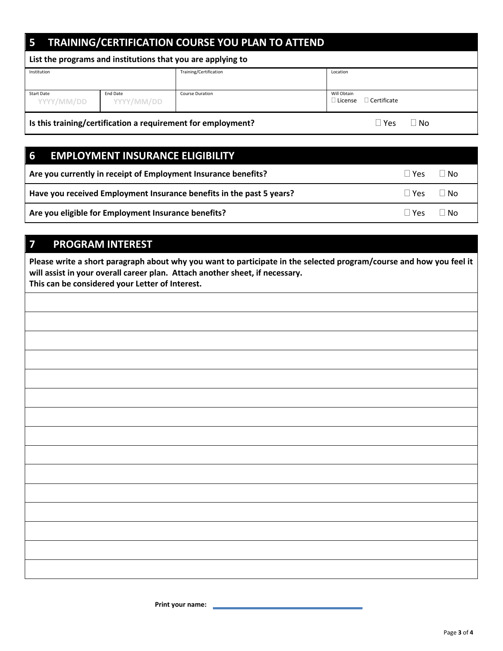# **5 TRAINING/CERTIFICATION COURSE YOU PLAN TO ATTEND**

| List the programs and institutions that you are applying to                                         |                        |                        |                                                        |  |  |
|-----------------------------------------------------------------------------------------------------|------------------------|------------------------|--------------------------------------------------------|--|--|
| Institution                                                                                         |                        | Training/Certification | Location                                               |  |  |
| <b>Start Date</b><br>YYYY/MM/DD                                                                     | End Date<br>YYYY/MM/DD | <b>Course Duration</b> | Will Obtain<br>$\Box$ Certificate<br>$\square$ License |  |  |
| Is this training/certification a requirement for employment?<br>∣Yes<br>$\overline{\phantom{a}}$ No |                        |                        |                                                        |  |  |

# **6 EMPLOYMENT INSURANCE ELIGIBILITY**

| Are you currently in receipt of Employment Insurance benefits?       | ∣Yeς      | ⊤l No     |
|----------------------------------------------------------------------|-----------|-----------|
| Have you received Employment Insurance benefits in the past 5 years? | ∃Yes llNo |           |
| Are you eligible for Employment Insurance benefits?                  | Yes       | $\Box$ No |

## **7 PROGRAM INTEREST**

**Please write a short paragraph about why you want to participate in the selected program/course and how you feel it will assist in your overall career plan. Attach another sheet, if necessary. This can be considered your Letter of Interest.**